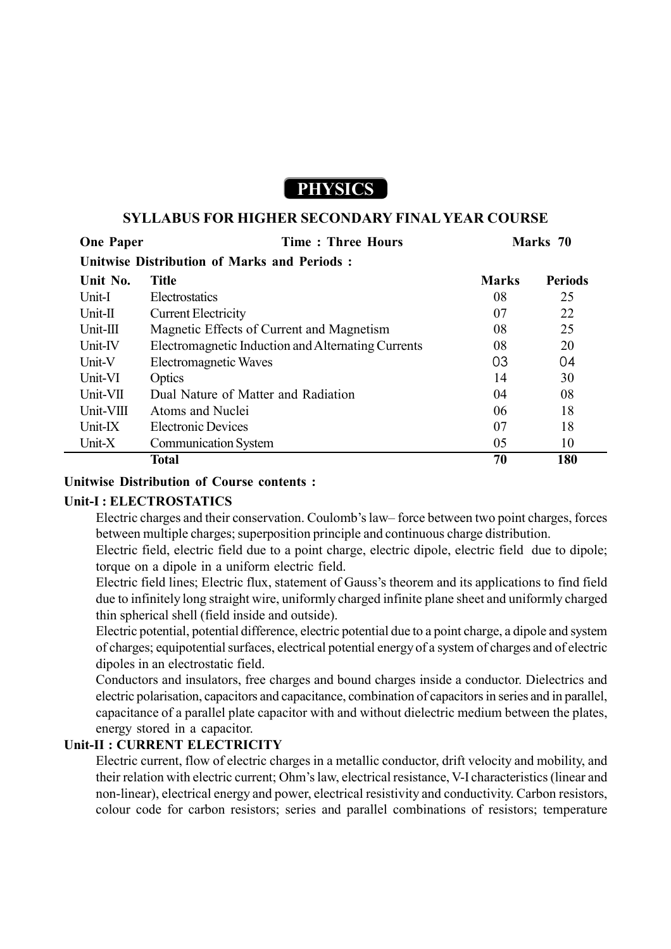# **PHYSICS**

#### **SYLLABUS FOR HIGHER SECONDARY FINAL YEAR COURSE**

| <b>One Paper</b>                                   | <b>Time: Three Hours</b>                           | Marks 70     |                |  |
|----------------------------------------------------|----------------------------------------------------|--------------|----------------|--|
| <b>Unitwise Distribution of Marks and Periods:</b> |                                                    |              |                |  |
| Unit No.                                           | <b>Title</b>                                       | <b>Marks</b> | <b>Periods</b> |  |
| Unit-I                                             | Electrostatics                                     | 08           | 25             |  |
| Unit-II                                            | <b>Current Electricity</b>                         | 07           | 22             |  |
| $Unit-III$                                         | Magnetic Effects of Current and Magnetism          | 08           | 25             |  |
| Unit-IV                                            | Electromagnetic Induction and Alternating Currents | 08           | 20             |  |
| Unit-V                                             | Electromagnetic Waves                              | 03           | 04             |  |
| Unit-VI                                            | Optics                                             | 14           | 30             |  |
| Unit-VII                                           | Dual Nature of Matter and Radiation                | 04           | 08             |  |
| Unit-VIII                                          | Atoms and Nuclei                                   | 06           | 18             |  |
| Unit-IX                                            | <b>Electronic Devices</b>                          | 07           | 18             |  |
| Unit-X                                             | <b>Communication System</b>                        | 05           | 10             |  |
|                                                    | Total                                              | 70           | 180            |  |

#### **Unitwise Distribution of Course contents :**

#### **Unit-I : ELECTROSTATICS**

Electric charges and their conservation. Coulomb's law– force between two point charges, forces between multiple charges; superposition principle and continuous charge distribution.

Electric field, electric field due to a point charge, electric dipole, electric field due to dipole; torque on a dipole in a uniform electric field.

Electric field lines; Electric flux, statement of Gauss's theorem and its applications to find field due to infinitely long straight wire, uniformly charged infinite plane sheet and uniformly charged thin spherical shell (field inside and outside).

Electric potential, potential difference, electric potential due to a point charge, a dipole and system of charges; equipotential surfaces, electrical potential energy of a system of charges and of electric dipoles in an electrostatic field.

Conductors and insulators, free charges and bound charges inside a conductor. Dielectrics and electric polarisation, capacitors and capacitance, combination of capacitors in series and in parallel, capacitance of a parallel plate capacitor with and without dielectric medium between the plates, energy stored in a capacitor.

#### **Unit-II : CURRENT ELECTRICITY**

Electric current, flow of electric charges in a metallic conductor, drift velocity and mobility, and their relation with electric current; Ohm's law, electrical resistance, V-I characteristics (linear and non-linear), electrical energy and power, electrical resistivity and conductivity. Carbon resistors, colour code for carbon resistors; series and parallel combinations of resistors; temperature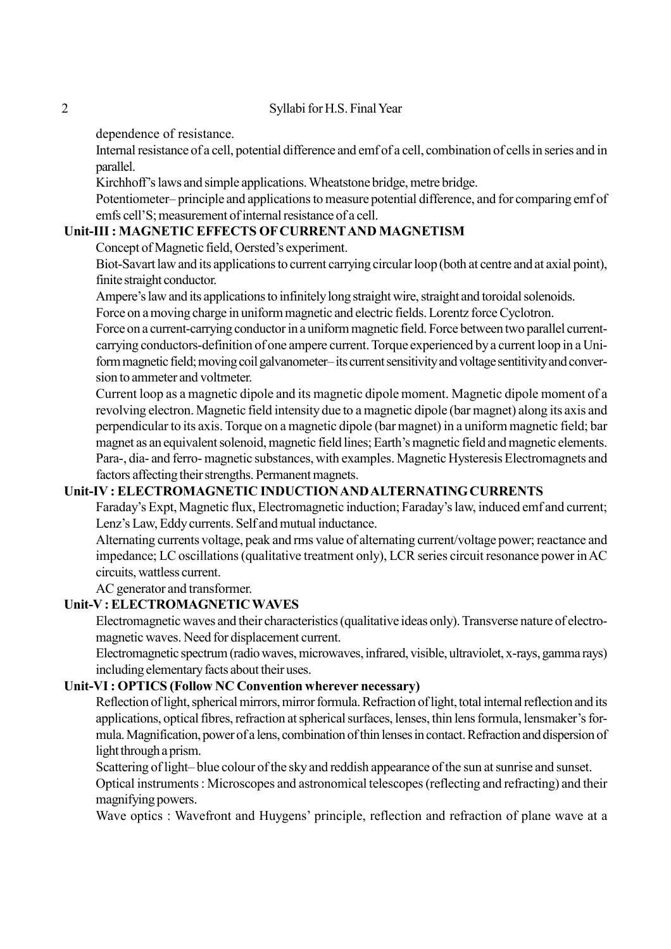#### 2 Syllabi for H.S. Final Year

dependence of resistance.

Internal resistance of a cell, potential difference and emf of a cell, combination of cells in series and in parallel.

Kirchhoff's laws and simple applications. Wheatstone bridge, metre bridge.

Potentiometer– principle and applications to measure potential difference, and for comparing emf of emfs cell'S; measurement of internal resistance of a cell.

## **Unit-III : MAGNETIC EFFECTS OF CURRENT AND MAGNETISM**

Concept of Magnetic field, Oersted's experiment.

Biot-Savart law and its applications to current carrying circular loop (both at centre and at axial point), finite straight conductor.

Ampere's law and its applications to infinitely long straight wire, straight and toroidal solenoids. Force on a moving charge in uniform magnetic and electric fields. Lorentz force Cyclotron.

Force on a current-carrying conductor in a uniform magnetic field. Force between two parallel currentcarrying conductors-definition of one ampere current. Torque experienced by a current loop in a Uniform magnetic field; moving coil galvanometer– its current sensitivity and voltage sentitivity and conversion to ammeter and voltmeter.

Current loop as a magnetic dipole and its magnetic dipole moment. Magnetic dipole moment of a revolving electron. Magnetic field intensity due to a magnetic dipole (bar magnet) along its axis and perpendicular to its axis. Torque on a magnetic dipole (bar magnet) in a uniform magnetic field; bar magnet as an equivalent solenoid, magnetic field lines; Earth's magnetic field and magnetic elements. Para-, dia- and ferro- magnetic substances, with examples. Magnetic Hysteresis Electromagnets and factors affecting their strengths. Permanent magnets.

## **Unit-IV : ELECTROMAGNETIC INDUCTION AND ALTERNATING CURRENTS**

Faraday's Expt, Magnetic flux, Electromagnetic induction; Faraday's law, induced emf and current; Lenz's Law, Eddy currents. Self and mutual inductance.

Alternating currents voltage, peak and rms value of alternating current/voltage power; reactance and impedance; LC oscillations (qualitative treatment only), LCR series circuit resonance power in AC circuits, wattless current.

AC generator and transformer.

## **Unit-V : ELECTROMAGNETIC WAVES**

Electromagnetic waves and their characteristics (qualitative ideas only). Transverse nature of electromagnetic waves. Need for displacement current.

Electromagnetic spectrum (radio waves, microwaves, infrared, visible, ultraviolet, x-rays, gamma rays) including elementary facts about their uses.

## **Unit-VI : OPTICS (Follow NC Convention wherever necessary)**

Reflection of light, spherical mirrors, mirror formula. Refraction of light, total internal reflection and its applications, optical fibres, refraction at spherical surfaces, lenses, thin lens formula, lensmaker's formula. Magnification, power of a lens, combination of thin lenses in contact. Refraction and dispersion of light through a prism.

Scattering of light– blue colour of the sky and reddish appearance of the sun at sunrise and sunset. Optical instruments : Microscopes and astronomical telescopes (reflecting and refracting) and their magnifying powers.

Wave optics : Wavefront and Huygens' principle, reflection and refraction of plane wave at a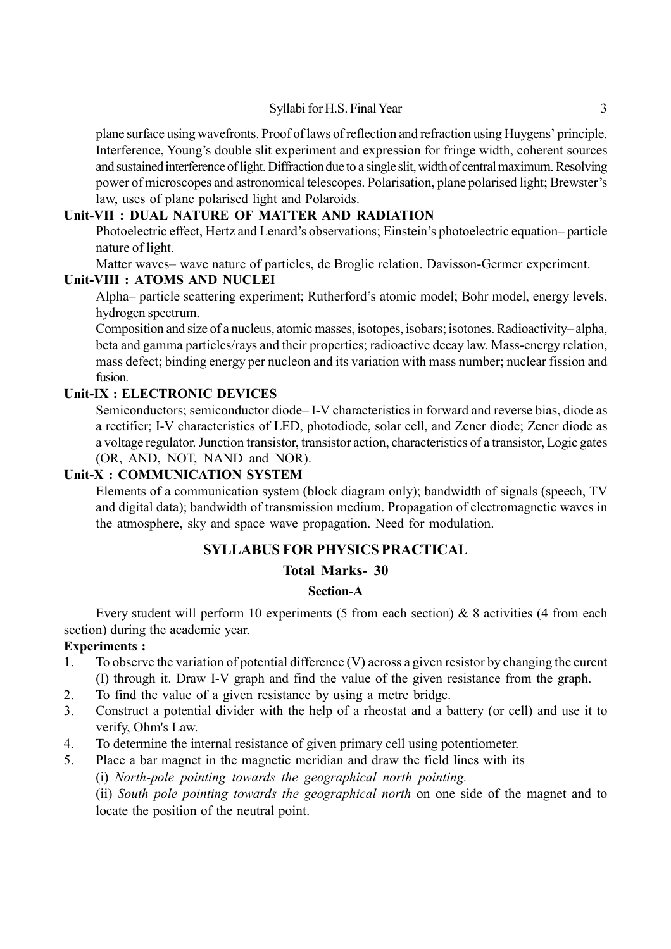plane surface using wavefronts. Proof of laws of reflection and refraction using Huygens' principle. Interference, Young's double slit experiment and expression for fringe width, coherent sources and sustained interference of light. Diffraction due to a single slit, width of central maximum. Resolving power of microscopes and astronomical telescopes. Polarisation, plane polarised light; Brewster's law, uses of plane polarised light and Polaroids.

## **Unit-VII : DUAL NATURE OF MATTER AND RADIATION**

Photoelectric effect, Hertz and Lenard's observations; Einstein's photoelectric equation– particle nature of light.

Matter waves– wave nature of particles, de Broglie relation. Davisson-Germer experiment.

#### **Unit-VIII : ATOMS AND NUCLEI**

Alpha– particle scattering experiment; Rutherford's atomic model; Bohr model, energy levels, hydrogen spectrum.

Composition and size of a nucleus, atomic masses, isotopes, isobars; isotones. Radioactivity– alpha, beta and gamma particles/rays and their properties; radioactive decay law. Mass-energy relation, mass defect; binding energy per nucleon and its variation with mass number; nuclear fission and fusion.

#### **Unit-IX : ELECTRONIC DEVICES**

Semiconductors; semiconductor diode– I-V characteristics in forward and reverse bias, diode as a rectifier; I-V characteristics of LED, photodiode, solar cell, and Zener diode; Zener diode as a voltage regulator. Junction transistor, transistor action, characteristics of a transistor, Logic gates (OR, AND, NOT, NAND and NOR).

## **Unit-X : COMMUNICATION SYSTEM**

Elements of a communication system (block diagram only); bandwidth of signals (speech, TV and digital data); bandwidth of transmission medium. Propagation of electromagnetic waves in the atmosphere, sky and space wave propagation. Need for modulation.

## **SYLLABUS FOR PHYSICS PRACTICAL**

## **Total Marks- 30**

#### **Section-A**

Every student will perform 10 experiments (5 from each section) & 8 activities (4 from each section) during the academic year.

#### **Experiments :**

- 1. To observe the variation of potential difference (V) across a given resistor by changing the curent (I) through it. Draw I-V graph and find the value of the given resistance from the graph.
- 2. To find the value of a given resistance by using a metre bridge.
- 3. Construct a potential divider with the help of a rheostat and a battery (or cell) and use it to verify, Ohm's Law.
- 4. To determine the internal resistance of given primary cell using potentiometer.
- 5. Place a bar magnet in the magnetic meridian and draw the field lines with its

(i) *North-pole pointing towards the geographical north pointing.*

(ii) *South pole pointing towards the geographical north* on one side of the magnet and to locate the position of the neutral point.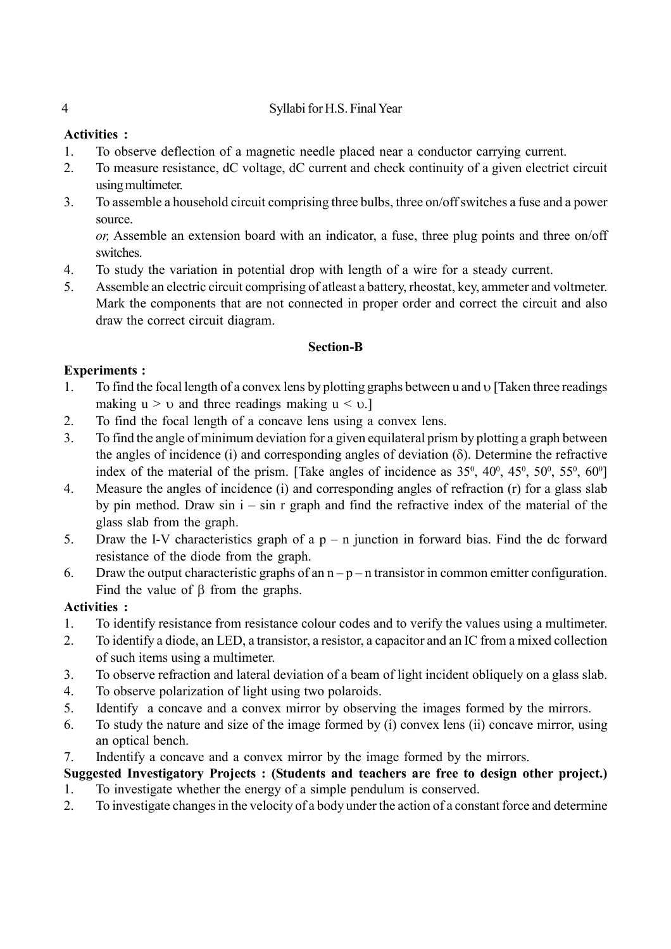## 4 Syllabi for H.S. Final Year

## **Activities :**

- 1. To observe deflection of a magnetic needle placed near a conductor carrying current.
- 2. To measure resistance, dC voltage, dC current and check continuity of a given electrict circuit using multimeter.
- 3. To assemble a household circuit comprising three bulbs, three on/off switches a fuse and a power source.

*or,* Assemble an extension board with an indicator, a fuse, three plug points and three on/off switches.

- 4. To study the variation in potential drop with length of a wire for a steady current.
- 5. Assemble an electric circuit comprising of atleast a battery, rheostat, key, ammeter and voltmeter. Mark the components that are not connected in proper order and correct the circuit and also draw the correct circuit diagram.

## **Section-B**

## **Experiments :**

- 1. To find the focal length of a convex lens by plotting graphs between u and  $\upsilon$  [Taken three readings making  $u > v$  and three readings making  $u \le v$ .]
- 2. To find the focal length of a concave lens using a convex lens.
- 3. To find the angle of minimum deviation for a given equilateral prism by plotting a graph between the angles of incidence (i) and corresponding angles of deviation  $(\delta)$ . Determine the refractive index of the material of the prism. [Take angles of incidence as  $35^{\circ}$ ,  $40^{\circ}$ ,  $45^{\circ}$ ,  $50^{\circ}$ ,  $55^{\circ}$ ,  $60^{\circ}$ ]
- 4. Measure the angles of incidence (i) and corresponding angles of refraction (r) for a glass slab by pin method. Draw sin  $i - \sin r$  graph and find the refractive index of the material of the glass slab from the graph.
- 5. Draw the I-V characteristics graph of a  $p n$  junction in forward bias. Find the dc forward resistance of the diode from the graph.
- 6. Draw the output characteristic graphs of an  $n p n$  transistor in common emitter configuration. Find the value of  $\beta$  from the graphs.

# **Activities :**

- 1. To identify resistance from resistance colour codes and to verify the values using a multimeter.
- 2. To identify a diode, an LED, a transistor, a resistor, a capacitor and an IC from a mixed collection of such items using a multimeter.
- 3. To observe refraction and lateral deviation of a beam of light incident obliquely on a glass slab.
- 4. To observe polarization of light using two polaroids.
- 5. Identify a concave and a convex mirror by observing the images formed by the mirrors.
- 6. To study the nature and size of the image formed by (i) convex lens (ii) concave mirror, using an optical bench.
- 7. Indentify a concave and a convex mirror by the image formed by the mirrors.

# **Suggested Investigatory Projects : (Students and teachers are free to design other project.)**

- 1. To investigate whether the energy of a simple pendulum is conserved.
- 2. To investigate changes in the velocity of a body under the action of a constant force and determine